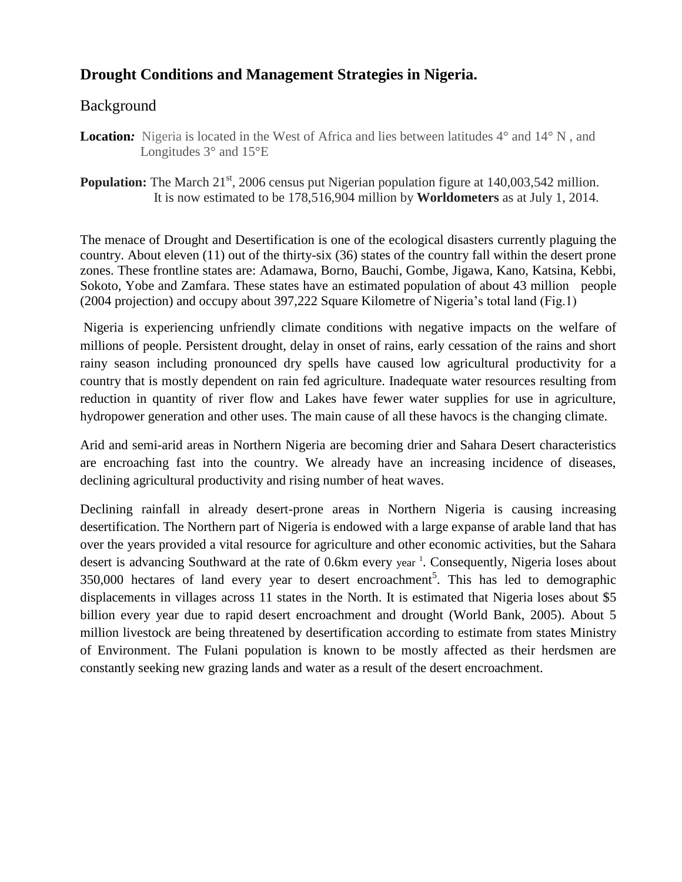# **Drought Conditions and Management Strategies in Nigeria.**

#### Background

**Location:** Nigeria is located in the West of Africa and lies between latitudes  $4^{\circ}$  and  $14^{\circ}$  N, and Longitudes 3° and 15°E

**Population:** The March 21<sup>st</sup>, 2006 census put Nigerian population figure at 140,003,542 million. It is now estimated to be 178,516,904 million by **Worldometers** as at July 1, 2014.

The menace of Drought and Desertification is one of the ecological disasters currently plaguing the country. About eleven (11) out of the thirty-six (36) states of the country fall within the desert prone zones. These frontline states are: Adamawa, Borno, Bauchi, Gombe, Jigawa, Kano, Katsina, Kebbi, Sokoto, Yobe and Zamfara. These states have an estimated population of about 43 million people (2004 projection) and occupy about 397,222 Square Kilometre of Nigeria's total land (Fig.1)

Nigeria is experiencing unfriendly climate conditions with negative impacts on the welfare of millions of people. Persistent drought, delay in onset of rains, early cessation of the rains and short rainy season including pronounced dry spells have caused low agricultural productivity for a country that is mostly dependent on rain fed agriculture. Inadequate water resources resulting from reduction in quantity of river flow and Lakes have fewer water supplies for use in agriculture, hydropower generation and other uses. The main cause of all these havocs is the changing climate.

Arid and semi-arid areas in Northern Nigeria are becoming drier and Sahara Desert characteristics are encroaching fast into the country. We already have an increasing incidence of diseases, declining agricultural productivity and rising number of heat waves.

Declining rainfall in already desert-prone areas in Northern Nigeria is causing increasing desertification. The Northern part of Nigeria is endowed with a large expanse of arable land that has over the years provided a vital resource for agriculture and other economic activities, but the Sahara desert is advancing Southward at the rate of 0.6km every year <sup>1</sup>. Consequently, Nigeria loses about 350,000 hectares of land every year to desert encroachment<sup>5</sup>. This has led to demographic displacements in villages across 11 states in the North. It is estimated that Nigeria loses about \$5 billion every year due to rapid desert encroachment and drought (World Bank, 2005). About 5 million livestock are being threatened by desertification according to estimate from states Ministry of Environment. The Fulani population is known to be mostly affected as their herdsmen are constantly seeking new grazing lands and water as a result of the desert encroachment.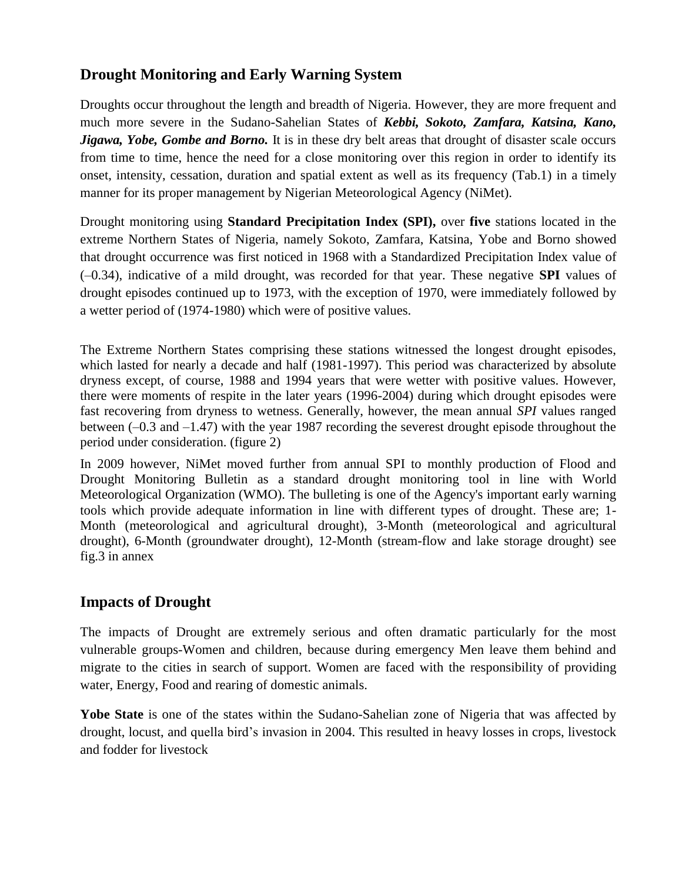# **Drought Monitoring and Early Warning System**

Droughts occur throughout the length and breadth of Nigeria. However, they are more frequent and much more severe in the Sudano-Sahelian States of *Kebbi, Sokoto, Zamfara, Katsina, Kano, Jigawa, Yobe, Gombe and Borno.* It is in these dry belt areas that drought of disaster scale occurs from time to time, hence the need for a close monitoring over this region in order to identify its onset, intensity, cessation, duration and spatial extent as well as its frequency (Tab.1) in a timely manner for its proper management by Nigerian Meteorological Agency (NiMet).

Drought monitoring using **Standard Precipitation Index (SPI),** over **five** stations located in the extreme Northern States of Nigeria, namely Sokoto, Zamfara, Katsina, Yobe and Borno showed that drought occurrence was first noticed in 1968 with a Standardized Precipitation Index value of (–0.34), indicative of a mild drought, was recorded for that year. These negative **SPI** values of drought episodes continued up to 1973, with the exception of 1970, were immediately followed by a wetter period of (1974-1980) which were of positive values.

The Extreme Northern States comprising these stations witnessed the longest drought episodes, which lasted for nearly a decade and half (1981-1997). This period was characterized by absolute dryness except, of course, 1988 and 1994 years that were wetter with positive values. However, there were moments of respite in the later years (1996-2004) during which drought episodes were fast recovering from dryness to wetness. Generally, however, the mean annual *SPI* values ranged between (–0.3 and –1.47) with the year 1987 recording the severest drought episode throughout the period under consideration. (figure 2)

In 2009 however, NiMet moved further from annual SPI to monthly production of Flood and Drought Monitoring Bulletin as a standard drought monitoring tool in line with World Meteorological Organization (WMO). The bulleting is one of the Agency's important early warning tools which provide adequate information in line with different types of drought. These are; 1- Month (meteorological and agricultural drought), 3-Month (meteorological and agricultural drought), 6-Month (groundwater drought), 12-Month (stream-flow and lake storage drought) see fig.3 in annex

## **Impacts of Drought**

The impacts of Drought are extremely serious and often dramatic particularly for the most vulnerable groups-Women and children, because during emergency Men leave them behind and migrate to the cities in search of support. Women are faced with the responsibility of providing water, Energy, Food and rearing of domestic animals.

**Yobe State** is one of the states within the Sudano-Sahelian zone of Nigeria that was affected by drought, locust, and quella bird's invasion in 2004. This resulted in heavy losses in crops, livestock and fodder for livestock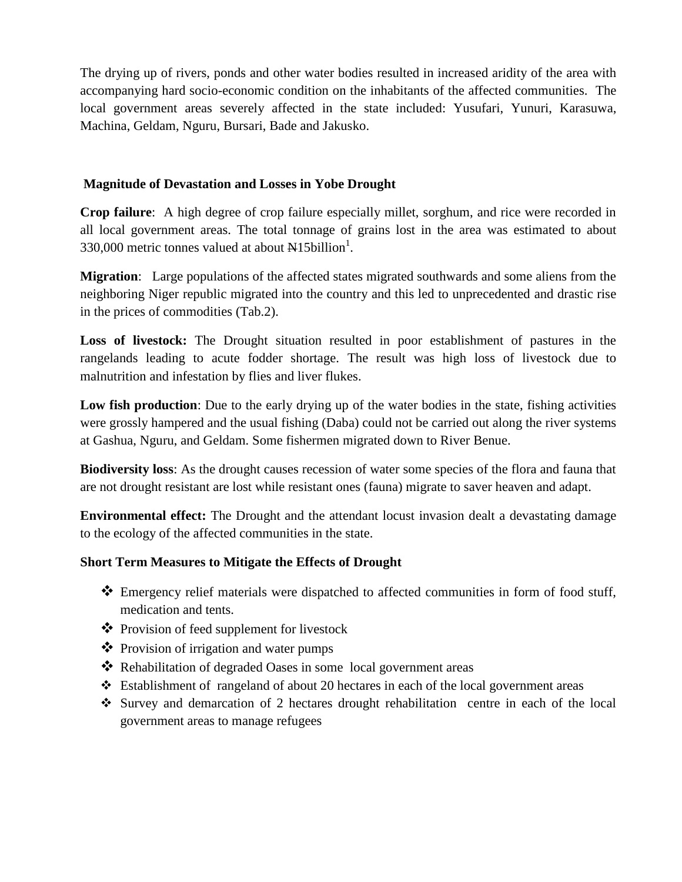The drying up of rivers, ponds and other water bodies resulted in increased aridity of the area with accompanying hard socio-economic condition on the inhabitants of the affected communities. The local government areas severely affected in the state included: Yusufari, Yunuri, Karasuwa, Machina, Geldam, Nguru, Bursari, Bade and Jakusko.

#### **Magnitude of Devastation and Losses in Yobe Drought**

**Crop failure**: A high degree of crop failure especially millet, sorghum, and rice were recorded in all local government areas. The total tonnage of grains lost in the area was estimated to about 330,000 metric tonnes valued at about  $\text{N15billion}^1$ .

**Migration**: Large populations of the affected states migrated southwards and some aliens from the neighboring Niger republic migrated into the country and this led to unprecedented and drastic rise in the prices of commodities (Tab.2).

**Loss of livestock:** The Drought situation resulted in poor establishment of pastures in the rangelands leading to acute fodder shortage. The result was high loss of livestock due to malnutrition and infestation by flies and liver flukes.

**Low fish production**: Due to the early drying up of the water bodies in the state, fishing activities were grossly hampered and the usual fishing (Daba) could not be carried out along the river systems at Gashua, Nguru, and Geldam. Some fishermen migrated down to River Benue.

**Biodiversity loss**: As the drought causes recession of water some species of the flora and fauna that are not drought resistant are lost while resistant ones (fauna) migrate to saver heaven and adapt.

**Environmental effect:** The Drought and the attendant locust invasion dealt a devastating damage to the ecology of the affected communities in the state.

#### **Short Term Measures to Mitigate the Effects of Drought**

- Emergency relief materials were dispatched to affected communities in form of food stuff, medication and tents.
- Provision of feed supplement for livestock
- Provision of irrigation and water pumps
- \* Rehabilitation of degraded Oases in some local government areas
- Establishment of rangeland of about 20 hectares in each of the local government areas
- Survey and demarcation of 2 hectares drought rehabilitation centre in each of the local government areas to manage refugees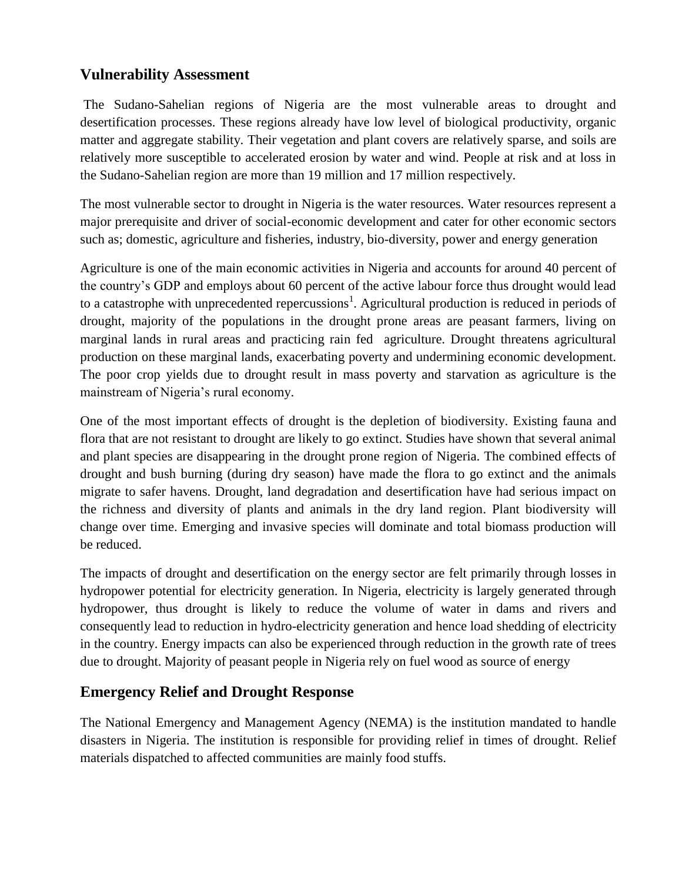## **Vulnerability Assessment**

The Sudano-Sahelian regions of Nigeria are the most vulnerable areas to drought and desertification processes. These regions already have low level of biological productivity, organic matter and aggregate stability. Their vegetation and plant covers are relatively sparse, and soils are relatively more susceptible to accelerated erosion by water and wind. People at risk and at loss in the Sudano-Sahelian region are more than 19 million and 17 million respectively.

The most vulnerable sector to drought in Nigeria is the water resources. Water resources represent a major prerequisite and driver of social-economic development and cater for other economic sectors such as; domestic, agriculture and fisheries, industry, bio-diversity, power and energy generation

Agriculture is one of the main economic activities in Nigeria and accounts for around 40 percent of the country's GDP and employs about 60 percent of the active labour force thus drought would lead to a catastrophe with unprecedented repercussions<sup>1</sup>. Agricultural production is reduced in periods of drought, majority of the populations in the drought prone areas are peasant farmers, living on marginal lands in rural areas and practicing rain fed agriculture. Drought threatens agricultural production on these marginal lands, exacerbating poverty and undermining economic development. The poor crop yields due to drought result in mass poverty and starvation as agriculture is the mainstream of Nigeria's rural economy.

One of the most important effects of drought is the depletion of biodiversity. Existing fauna and flora that are not resistant to drought are likely to go extinct. Studies have shown that several animal and plant species are disappearing in the drought prone region of Nigeria. The combined effects of drought and bush burning (during dry season) have made the flora to go extinct and the animals migrate to safer havens. Drought, land degradation and desertification have had serious impact on the richness and diversity of plants and animals in the dry land region. Plant biodiversity will change over time. Emerging and invasive species will dominate and total biomass production will be reduced.

The impacts of drought and desertification on the energy sector are felt primarily through losses in hydropower potential for electricity generation. In Nigeria, electricity is largely generated through hydropower, thus drought is likely to reduce the volume of water in dams and rivers and consequently lead to reduction in hydro-electricity generation and hence load shedding of electricity in the country. Energy impacts can also be experienced through reduction in the growth rate of trees due to drought. Majority of peasant people in Nigeria rely on fuel wood as source of energy

## **Emergency Relief and Drought Response**

The National Emergency and Management Agency (NEMA) is the institution mandated to handle disasters in Nigeria. The institution is responsible for providing relief in times of drought. Relief materials dispatched to affected communities are mainly food stuffs.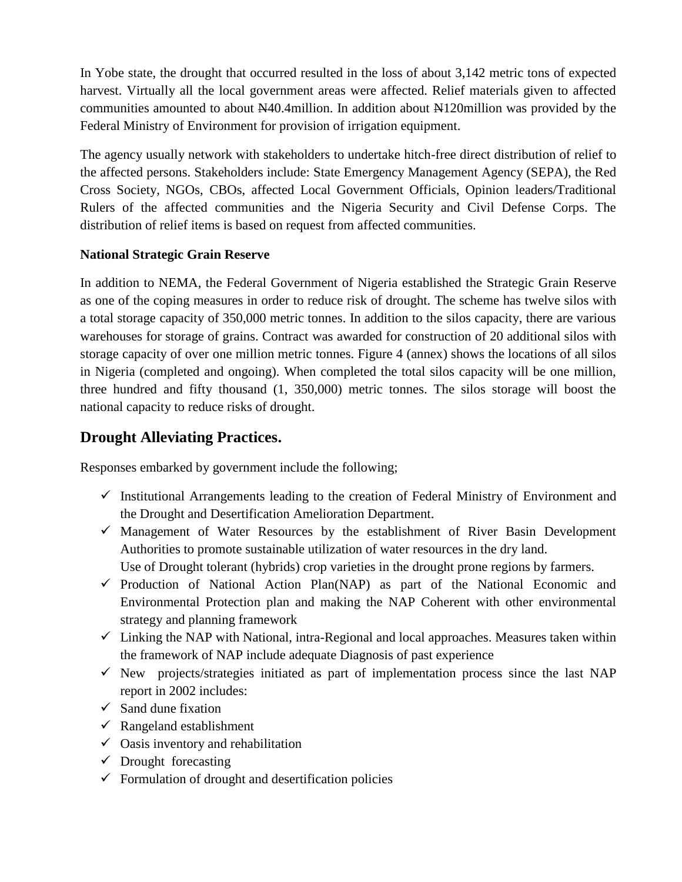In Yobe state, the drought that occurred resulted in the loss of about 3,142 metric tons of expected harvest. Virtually all the local government areas were affected. Relief materials given to affected communities amounted to about N40.4million. In addition about N120million was provided by the Federal Ministry of Environment for provision of irrigation equipment.

The agency usually network with stakeholders to undertake hitch-free direct distribution of relief to the affected persons. Stakeholders include: State Emergency Management Agency (SEPA), the Red Cross Society, NGOs, CBOs, affected Local Government Officials, Opinion leaders/Traditional Rulers of the affected communities and the Nigeria Security and Civil Defense Corps. The distribution of relief items is based on request from affected communities.

#### **National Strategic Grain Reserve**

In addition to NEMA, the Federal Government of Nigeria established the Strategic Grain Reserve as one of the coping measures in order to reduce risk of drought. The scheme has twelve silos with a total storage capacity of 350,000 metric tonnes. In addition to the silos capacity, there are various warehouses for storage of grains. Contract was awarded for construction of 20 additional silos with storage capacity of over one million metric tonnes. Figure 4 (annex) shows the locations of all silos in Nigeria (completed and ongoing). When completed the total silos capacity will be one million, three hundred and fifty thousand (1, 350,000) metric tonnes. The silos storage will boost the national capacity to reduce risks of drought.

## **Drought Alleviating Practices.**

Responses embarked by government include the following;

- $\checkmark$  Institutional Arrangements leading to the creation of Federal Ministry of Environment and the Drought and Desertification Amelioration Department.
- $\checkmark$  Management of Water Resources by the establishment of River Basin Development Authorities to promote sustainable utilization of water resources in the dry land. Use of Drought tolerant (hybrids) crop varieties in the drought prone regions by farmers.
- $\checkmark$  Production of National Action Plan(NAP) as part of the National Economic and Environmental Protection plan and making the NAP Coherent with other environmental strategy and planning framework
- $\checkmark$  Linking the NAP with National, intra-Regional and local approaches. Measures taken within the framework of NAP include adequate Diagnosis of past experience
- $\checkmark$  New projects/strategies initiated as part of implementation process since the last NAP report in 2002 includes:
- $\checkmark$  Sand dune fixation
- $\checkmark$  Rangeland establishment
- $\checkmark$  Oasis inventory and rehabilitation
- $\checkmark$  Drought forecasting
- $\checkmark$  Formulation of drought and desertification policies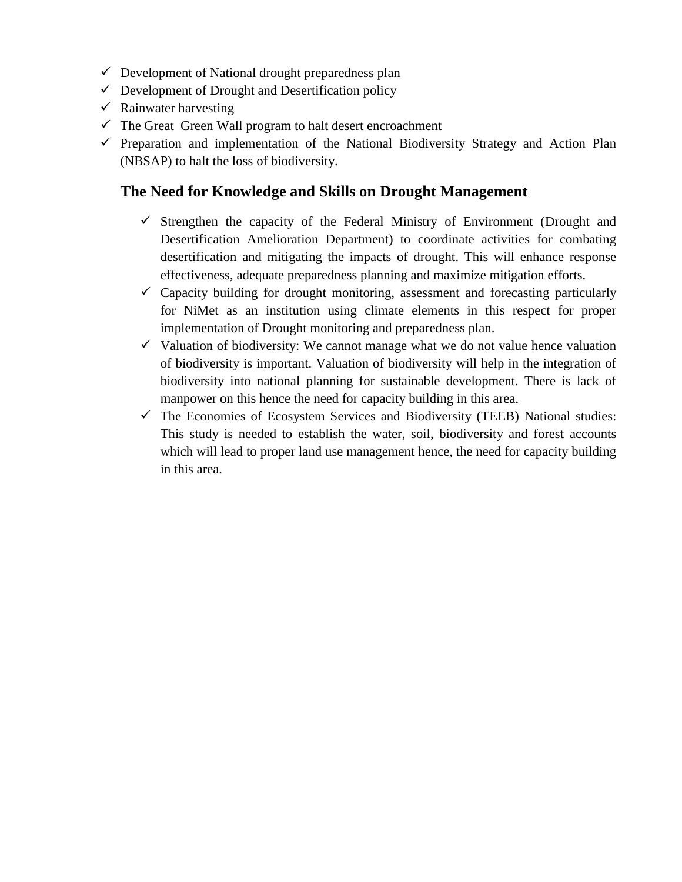- $\checkmark$  Development of National drought preparedness plan
- $\checkmark$  Development of Drought and Desertification policy
- $\checkmark$  Rainwater harvesting
- $\checkmark$  The Great Green Wall program to halt desert encroachment
- $\checkmark$  Preparation and implementation of the National Biodiversity Strategy and Action Plan (NBSAP) to halt the loss of biodiversity.

## **The Need for Knowledge and Skills on Drought Management**

- $\checkmark$  Strengthen the capacity of the Federal Ministry of Environment (Drought and Desertification Amelioration Department) to coordinate activities for combating desertification and mitigating the impacts of drought. This will enhance response effectiveness, adequate preparedness planning and maximize mitigation efforts.
- $\checkmark$  Capacity building for drought monitoring, assessment and forecasting particularly for NiMet as an institution using climate elements in this respect for proper implementation of Drought monitoring and preparedness plan.
- $\checkmark$  Valuation of biodiversity: We cannot manage what we do not value hence valuation of biodiversity is important. Valuation of biodiversity will help in the integration of biodiversity into national planning for sustainable development. There is lack of manpower on this hence the need for capacity building in this area.
- $\checkmark$  The Economies of Ecosystem Services and Biodiversity (TEEB) National studies: This study is needed to establish the water, soil, biodiversity and forest accounts which will lead to proper land use management hence, the need for capacity building in this area.